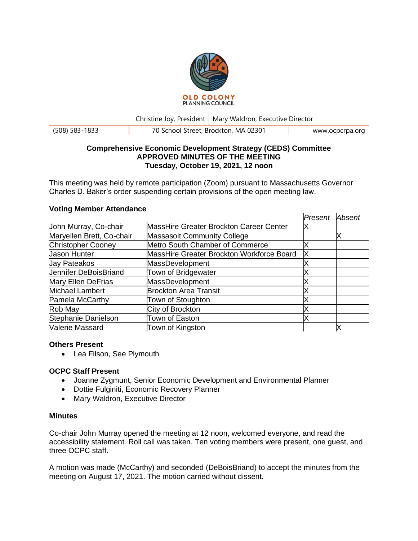

Christine Joy, President | Mary Waldron, Executive Director

(508) 583-1833 70 School Street, Brockton, MA 02301 www.ocpcrpa.org

#### **Comprehensive Economic Development Strategy (CEDS) Committee APPROVED MINUTES OF THE MEETING Tuesday, October 19, 2021, 12 noon**

This meeting was held by remote participation (Zoom) pursuant to Massachusetts Governor Charles D. Baker's order suspending certain provisions of the open meeting law.

|                           |                                                | Present | Absent |
|---------------------------|------------------------------------------------|---------|--------|
| John Murray, Co-chair     | <b>MassHire Greater Brockton Career Center</b> | х       |        |
| Maryellen Brett, Co-chair | <b>Massasoit Community College</b>             |         |        |
| <b>Christopher Cooney</b> | Metro South Chamber of Commerce                |         |        |
| Jason Hunter              | MassHire Greater Brockton Workforce Board      | Х       |        |
| Jay Pateakos              | MassDevelopment                                |         |        |
| Jennifer DeBoisBriand     | Town of Bridgewater                            |         |        |
| Mary Ellen DeFrias        | MassDevelopment                                |         |        |
| <b>Michael Lambert</b>    | <b>Brockton Area Transit</b>                   |         |        |
| Pamela McCarthy           | Town of Stoughton                              |         |        |
| Rob May                   | City of Brockton                               |         |        |
| Stephanie Danielson       | Town of Easton                                 |         |        |
| Valerie Massard           | Town of Kingston                               |         |        |

# **Voting Member Attendance**

## **Others Present**

• Lea Filson, See Plymouth

## **OCPC Staff Present**

- Joanne Zygmunt, Senior Economic Development and Environmental Planner
- Dottie Fulginiti, Economic Recovery Planner
- Mary Waldron, Executive Director

#### **Minutes**

Co-chair John Murray opened the meeting at 12 noon, welcomed everyone, and read the accessibility statement. Roll call was taken. Ten voting members were present, one guest, and three OCPC staff.

A motion was made (McCarthy) and seconded (DeBoisBriand) to accept the minutes from the meeting on August 17, 2021. The motion carried without dissent.